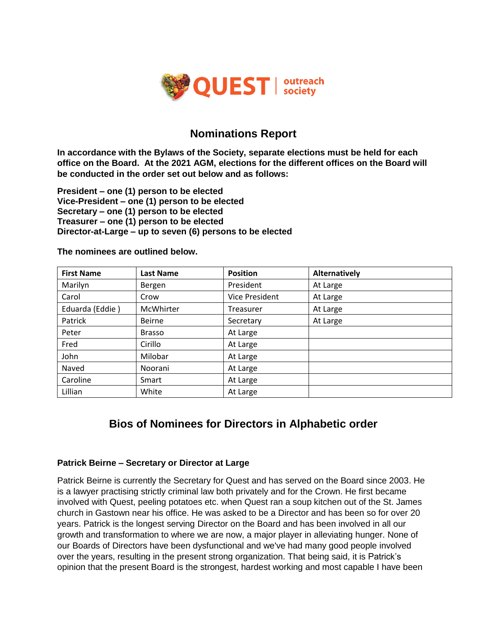

## **Nominations Report**

**In accordance with the Bylaws of the Society, separate elections must be held for each office on the Board. At the 2021 AGM, elections for the different offices on the Board will be conducted in the order set out below and as follows:**

**President – one (1) person to be elected Vice-President – one (1) person to be elected Secretary – one (1) person to be elected Treasurer – one (1) person to be elected Director-at-Large – up to seven (6) persons to be elected**

| <b>First Name</b> | <b>Last Name</b> | <b>Position</b>       | Alternatively |
|-------------------|------------------|-----------------------|---------------|
| Marilyn           | Bergen           | President             | At Large      |
| Carol             | Crow             | <b>Vice President</b> | At Large      |
| Eduarda (Eddie)   | McWhirter        | Treasurer             | At Large      |
| Patrick           | <b>Beirne</b>    | Secretary             | At Large      |
| Peter             | <b>Brasso</b>    | At Large              |               |
| Fred              | Cirillo          | At Large              |               |
| John              | Milobar          | At Large              |               |
| Naved             | Noorani          | At Large              |               |
| Caroline          | Smart            | At Large              |               |
| Lillian           | White            | At Large              |               |

**The nominees are outlined below.** 

# **Bios of Nominees for Directors in Alphabetic order**

#### **Patrick Beirne – Secretary or Director at Large**

Patrick Beirne is currently the Secretary for Quest and has served on the Board since 2003. He is a lawyer practising strictly criminal law both privately and for the Crown. He first became involved with Quest, peeling potatoes etc. when Quest ran a soup kitchen out of the St. James church in Gastown near his office. He was asked to be a Director and has been so for over 20 years. Patrick is the longest serving Director on the Board and has been involved in all our growth and transformation to where we are now, a major player in alleviating hunger. None of our Boards of Directors have been dysfunctional and we've had many good people involved over the years, resulting in the present strong organization. That being said, it is Patrick's opinion that the present Board is the strongest, hardest working and most capable I have been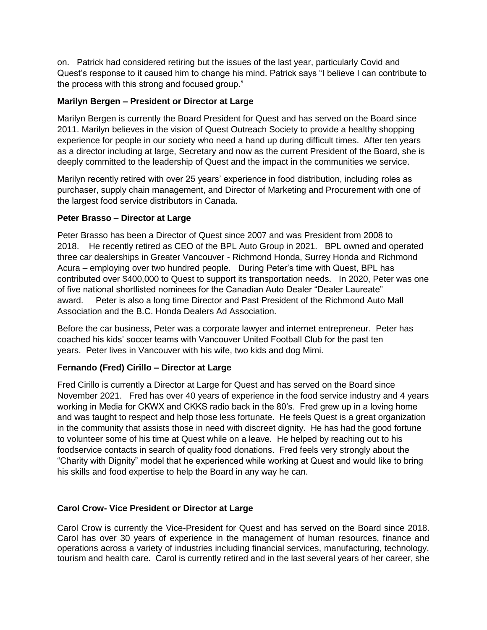on. Patrick had considered retiring but the issues of the last year, particularly Covid and Quest's response to it caused him to change his mind. Patrick says "I believe I can contribute to the process with this strong and focused group."

#### **Marilyn Bergen – President or Director at Large**

Marilyn Bergen is currently the Board President for Quest and has served on the Board since 2011. Marilyn believes in the vision of Quest Outreach Society to provide a healthy shopping experience for people in our society who need a hand up during difficult times. After ten years as a director including at large, Secretary and now as the current President of the Board, she is deeply committed to the leadership of Quest and the impact in the communities we service.

Marilyn recently retired with over 25 years' experience in food distribution, including roles as purchaser, supply chain management, and Director of Marketing and Procurement with one of the largest food service distributors in Canada.

#### **Peter Brasso – Director at Large**

Peter Brasso has been a Director of Quest since 2007 and was President from 2008 to 2018. He recently retired as CEO of the BPL Auto Group in 2021. BPL owned and operated three car dealerships in Greater Vancouver - Richmond Honda, Surrey Honda and Richmond Acura – employing over two hundred people. During Peter's time with Quest, BPL has contributed over \$400,000 to Quest to support its transportation needs. In 2020, Peter was one of five national shortlisted nominees for the Canadian Auto Dealer "Dealer Laureate" award. Peter is also a long time Director and Past President of the Richmond Auto Mall Association and the B.C. Honda Dealers Ad Association.

Before the car business, Peter was a corporate lawyer and internet entrepreneur. Peter has coached his kids' soccer teams with Vancouver United Football Club for the past ten years. Peter lives in Vancouver with his wife, two kids and dog Mimi.

## **Fernando (Fred) Cirillo – Director at Large**

Fred Cirillo is currently a Director at Large for Quest and has served on the Board since November 2021. Fred has over 40 years of experience in the food service industry and 4 years working in Media for CKWX and CKKS radio back in the 80's. Fred grew up in a loving home and was taught to respect and help those less fortunate. He feels Quest is a great organization in the community that assists those in need with discreet dignity. He has had the good fortune to volunteer some of his time at Quest while on a leave. He helped by reaching out to his foodservice contacts in search of quality food donations. Fred feels very strongly about the "Charity with Dignity" model that he experienced while working at Quest and would like to bring his skills and food expertise to help the Board in any way he can.

#### **Carol Crow- Vice President or Director at Large**

Carol Crow is currently the Vice-President for Quest and has served on the Board since 2018. Carol has over 30 years of experience in the management of human resources, finance and operations across a variety of industries including financial services, manufacturing, technology, tourism and health care. Carol is currently retired and in the last several years of her career, she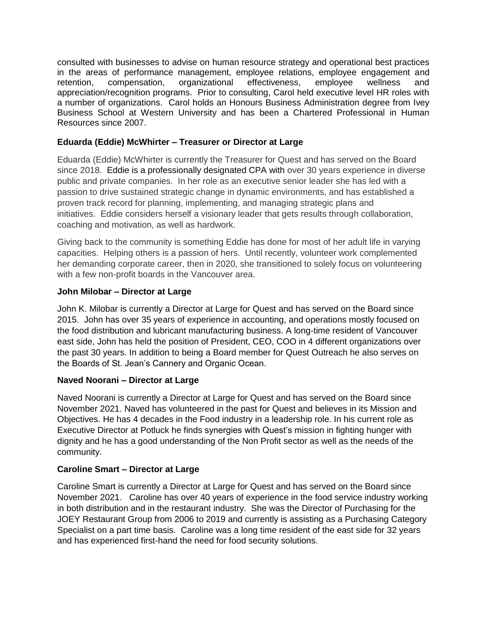consulted with businesses to advise on human resource strategy and operational best practices in the areas of performance management, employee relations, employee engagement and retention, compensation, organizational effectiveness, employee wellness and appreciation/recognition programs. Prior to consulting, Carol held executive level HR roles with a number of organizations. Carol holds an Honours Business Administration degree from Ivey Business School at Western University and has been a Chartered Professional in Human Resources since 2007.

## **Eduarda (Eddie) McWhirter – Treasurer or Director at Large**

Eduarda (Eddie) McWhirter is currently the Treasurer for Quest and has served on the Board since 2018. Eddie is a professionally designated CPA with over 30 years experience in diverse public and private companies. In her role as an executive senior leader she has led with a passion to drive sustained strategic change in dynamic environments, and has established a proven track record for planning, implementing, and managing strategic plans and initiatives. Eddie considers herself a visionary leader that gets results through collaboration, coaching and motivation, as well as hardwork.

Giving back to the community is something Eddie has done for most of her adult life in varying capacities. Helping others is a passion of hers. Until recently, volunteer work complemented her demanding corporate career, then in 2020, she transitioned to solely focus on volunteering with a few non-profit boards in the Vancouver area.

## **John Milobar – Director at Large**

John K. Milobar is currently a Director at Large for Quest and has served on the Board since 2015. John has over 35 years of experience in accounting, and operations mostly focused on the food distribution and lubricant manufacturing business. A long-time resident of Vancouver east side, John has held the position of President, CEO, COO in 4 different organizations over the past 30 years. In addition to being a Board member for Quest Outreach he also serves on the Boards of St. Jean's Cannery and Organic Ocean.

## **Naved Noorani – Director at Large**

Naved Noorani is currently a Director at Large for Quest and has served on the Board since November 2021. Naved has volunteered in the past for Quest and believes in its Mission and Objectives. He has 4 decades in the Food industry in a leadership role. In his current role as Executive Director at Potluck he finds synergies with Quest's mission in fighting hunger with dignity and he has a good understanding of the Non Profit sector as well as the needs of the community.

## **Caroline Smart – Director at Large**

Caroline Smart is currently a Director at Large for Quest and has served on the Board since November 2021. Caroline has over 40 years of experience in the food service industry working in both distribution and in the restaurant industry. She was the Director of Purchasing for the JOEY Restaurant Group from 2006 to 2019 and currently is assisting as a Purchasing Category Specialist on a part time basis. Caroline was a long time resident of the east side for 32 years and has experienced first-hand the need for food security solutions.